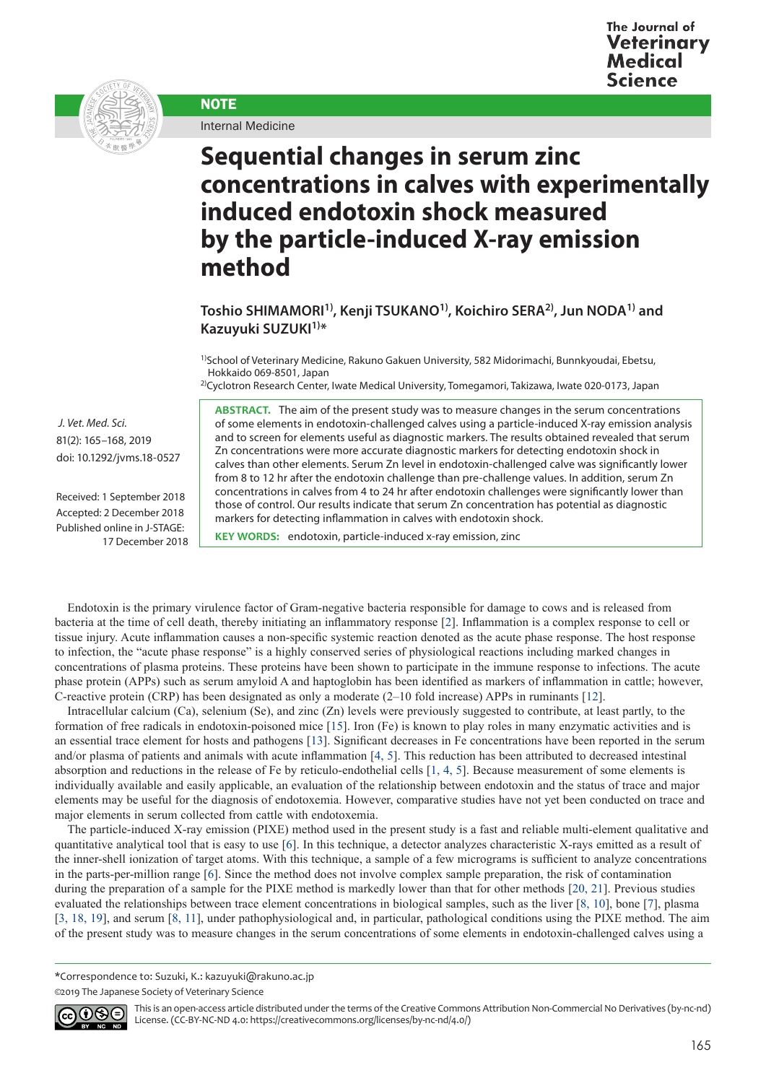



Internal Medicine

**NOTE** 

## **Sequential changes in serum zinc concentrations in calves with experimentally induced endotoxin shock measured by the particle-induced X-ray emission method**

**Toshio SHIMAMORI1), Kenji TSUKANO1), Koichiro SERA2), Jun NODA1) and Kazuyuki SUZUKI1)\***

<sup>1)</sup>School of Veterinary Medicine, Rakuno Gakuen University, 582 Midorimachi, Bunnkyoudai, Ebetsu, Hokkaido 069-8501, Japan

2)Cyclotron Research Center, Iwate Medical University, Tomegamori, Takizawa, Iwate 020-0173, Japan

**ABSTRACT.** The aim of the present study was to measure changes in the serum concentrations of some elements in endotoxin-challenged calves using a particle-induced X-ray emission analysis and to screen for elements useful as diagnostic markers. The results obtained revealed that serum Zn concentrations were more accurate diagnostic markers for detecting endotoxin shock in calves than other elements. Serum Zn level in endotoxin-challenged calve was significantly lower from 8 to 12 hr after the endotoxin challenge than pre-challenge values. In addition, serum Zn concentrations in calves from 4 to 24 hr after endotoxin challenges were significantly lower than those of control. Our results indicate that serum Zn concentration has potential as diagnostic markers for detecting inflammation in calves with endotoxin shock.

**KEY WORDS:** endotoxin, particle-induced x-ray emission, zinc

Endotoxin is the primary virulence factor of Gram-negative bacteria responsible for damage to cows and is released from bacteria at the time of cell death, thereby initiating an inflammatory response [[2](#page-2-0)]. Inflammation is a complex response to cell or tissue injury. Acute inflammation causes a non-specific systemic reaction denoted as the acute phase response. The host response to infection, the "acute phase response" is a highly conserved series of physiological reactions including marked changes in concentrations of plasma proteins. These proteins have been shown to participate in the immune response to infections. The acute phase protein (APPs) such as serum amyloid A and haptoglobin has been identified as markers of inflammation in cattle; however, C-reactive protein (CRP) has been designated as only a moderate (2–10 fold increase) APPs in ruminants [[12](#page-3-0)].

Intracellular calcium (Ca), selenium (Se), and zinc (Zn) levels were previously suggested to contribute, at least partly, to the formation of free radicals in endotoxin-poisoned mice [[15\]](#page-3-1). Iron (Fe) is known to play roles in many enzymatic activities and is an essential trace element for hosts and pathogens [[13](#page-3-2)]. Significant decreases in Fe concentrations have been reported in the serum and/or plasma of patients and animals with acute inflammation [[4, 5](#page-3-3)]. This reduction has been attributed to decreased intestinal absorption and reductions in the release of Fe by reticulo-endothelial cells [[1, 4, 5](#page-2-1)]. Because measurement of some elements is individually available and easily applicable, an evaluation of the relationship between endotoxin and the status of trace and major elements may be useful for the diagnosis of endotoxemia. However, comparative studies have not yet been conducted on trace and major elements in serum collected from cattle with endotoxemia.

The particle-induced X-ray emission (PIXE) method used in the present study is a fast and reliable multi-element qualitative and quantitative analytical tool that is easy to use [[6](#page-3-4)]. In this technique, a detector analyzes characteristic X-rays emitted as a result of the inner-shell ionization of target atoms. With this technique, a sample of a few micrograms is sufficient to analyze concentrations in the parts-per-million range [[6](#page-3-4)]. Since the method does not involve complex sample preparation, the risk of contamination during the preparation of a sample for the PIXE method is markedly lower than that for other methods [[20, 21](#page-3-5)]. Previous studies evaluated the relationships between trace element concentrations in biological samples, such as the liver [[8, 10](#page-3-6)], bone [[7](#page-3-7)], plasma [[3, 18, 19](#page-2-2)], and serum [[8, 11](#page-3-6)], under pathophysiological and, in particular, pathological conditions using the PIXE method. The aim of the present study was to measure changes in the serum concentrations of some elements in endotoxin-challenged calves using a

\*Correspondence to: Suzuki, K.: kazuyuki@rakuno.ac.jp

©2019 The Japanese Society of Veterinary Science



This is an open-access article distributed under the terms of the Creative Commons Attribution Non-Commercial No Derivatives (by-nc-nd) License. (CC-BY-NC-ND 4.0: <https://creativecommons.org/licenses/by-nc-nd/4.0/>)

81(2): 165–168, 2019 doi: 10.1292/jvms.18-0527

 *J. Vet. Med. Sci.* 

Received: 1 September 2018 Accepted: 2 December 2018 Published online in J-STAGE: 17 December 2018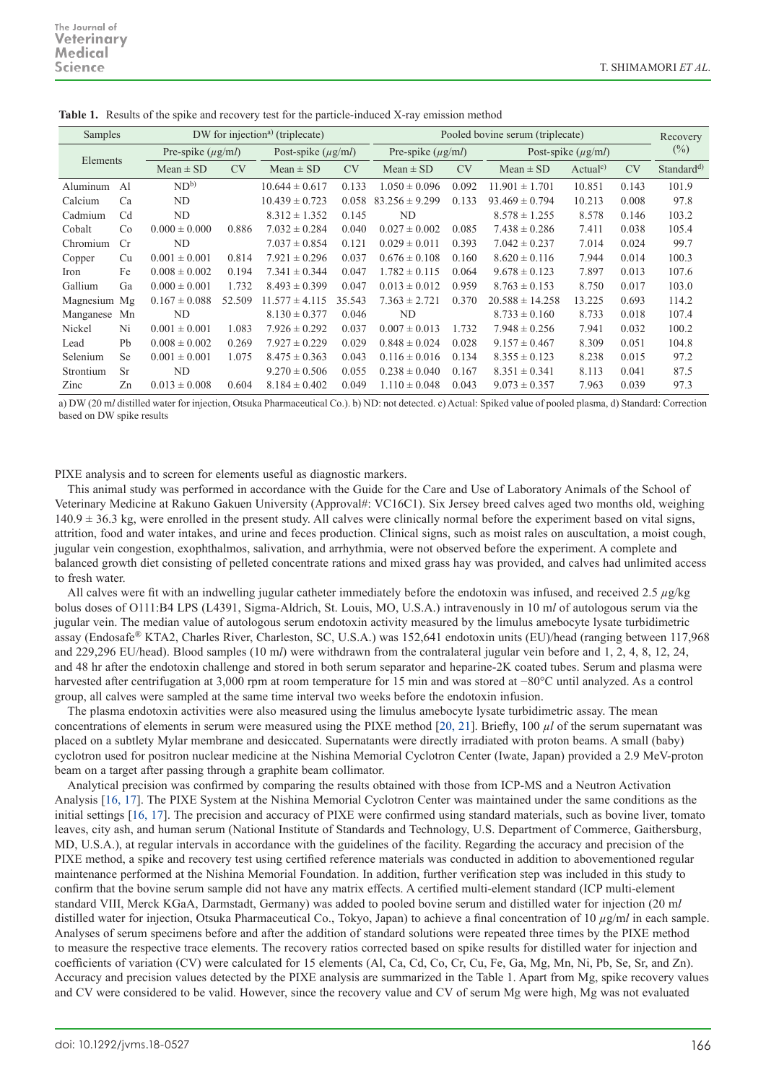| Samples   |                | DW for injection <sup>a)</sup> (triplecate) |           |                         |           | Pooled bovine serum (triplecate) |           |                         |                     |           | Recovery               |
|-----------|----------------|---------------------------------------------|-----------|-------------------------|-----------|----------------------------------|-----------|-------------------------|---------------------|-----------|------------------------|
| Elements  |                | Pre-spike $(\mu g/ml)$                      |           | Post-spike $(\mu g/ml)$ |           | Pre-spike $(\mu g/ml)$           |           | Post-spike $(\mu g/ml)$ |                     |           | $(\%)$                 |
|           |                | $Mean \pm SD$                               | <b>CV</b> | $Mean \pm SD$           | <b>CV</b> | $Mean \pm SD$                    | <b>CV</b> | $Mean \pm SD$           | Actual <sup>c</sup> | <b>CV</b> | Standard <sup>d)</sup> |
| Aluminum  | A <sub>1</sub> | $ND^{b}$                                    |           | $10.644 \pm 0.617$      | 0.133     | $1.050 \pm 0.096$                | 0.092     | $11.901 \pm 1.701$      | 10.851              | 0.143     | 101.9                  |
| Calcium   | Ca             | ND                                          |           | $10.439 \pm 0.723$      | 0.058     | $83.256 \pm 9.299$               | 0.133     | $93.469 \pm 0.794$      | 10.213              | 0.008     | 97.8                   |
| Cadmium   | Cd             | ND                                          |           | $8.312 \pm 1.352$       | 0.145     | ND                               |           | $8.578 \pm 1.255$       | 8.578               | 0.146     | 103.2                  |
| Cobalt    | Co             | $0.000 \pm 0.000$                           | 0.886     | $7.032 \pm 0.284$       | 0.040     | $0.027 \pm 0.002$                | 0.085     | $7.438 \pm 0.286$       | 7.411               | 0.038     | 105.4                  |
| Chromium  | Cr             | ND                                          |           | $7.037 \pm 0.854$       | 0.121     | $0.029 \pm 0.011$                | 0.393     | $7.042 \pm 0.237$       | 7.014               | 0.024     | 99.7                   |
| Copper    | Cu             | $0.001 \pm 0.001$                           | 0.814     | $7.921 \pm 0.296$       | 0.037     | $0.676 \pm 0.108$                | 0.160     | $8.620 \pm 0.116$       | 7.944               | 0.014     | 100.3                  |
| Iron      | Fe             | $0.008 \pm 0.002$                           | 0.194     | $7.341 \pm 0.344$       | 0.047     | $1.782 \pm 0.115$                | 0.064     | $9.678 \pm 0.123$       | 7.897               | 0.013     | 107.6                  |
| Gallium   | Ga             | $0.000 \pm 0.001$                           | 1.732     | $8.493 \pm 0.399$       | 0.047     | $0.013 \pm 0.012$                | 0.959     | $8.763 \pm 0.153$       | 8.750               | 0.017     | 103.0                  |
| Magnesium | Mg             | $0.167 \pm 0.088$                           | 52.509    | $11.577 \pm 4.115$      | 35.543    | $7.363 \pm 2.721$                | 0.370     | $20.588 \pm 14.258$     | 13.225              | 0.693     | 114.2                  |
| Manganese | Mn             | ND                                          |           | $8.130 \pm 0.377$       | 0.046     | ND                               |           | $8.733 \pm 0.160$       | 8.733               | 0.018     | 107.4                  |
| Nickel    | Ni             | $0.001 \pm 0.001$                           | 1.083     | $7.926 \pm 0.292$       | 0.037     | $0.007 \pm 0.013$                | 1.732     | $7.948 \pm 0.256$       | 7.941               | 0.032     | 100.2                  |
| Lead      | Ph             | $0.008 \pm 0.002$                           | 0.269     | $7.927 \pm 0.229$       | 0.029     | $0.848 \pm 0.024$                | 0.028     | $9.157 \pm 0.467$       | 8.309               | 0.051     | 104.8                  |
| Selenium  | <sub>Se</sub>  | $0.001 \pm 0.001$                           | 1.075     | $8.475 \pm 0.363$       | 0.043     | $0.116 \pm 0.016$                | 0.134     | $8.355 \pm 0.123$       | 8.238               | 0.015     | 97.2                   |
| Strontium | Sr             | ND                                          |           | $9.270 \pm 0.506$       | 0.055     | $0.238 \pm 0.040$                | 0.167     | $8.351 \pm 0.341$       | 8.113               | 0.041     | 87.5                   |
| Zinc      | Zn             | $0.013 \pm 0.008$                           | 0.604     | $8.184 \pm 0.402$       | 0.049     | $1.110 \pm 0.048$                | 0.043     | $9.073 \pm 0.357$       | 7.963               | 0.039     | 97.3                   |

**Table 1.** Results of the spike and recovery test for the particle-induced X-ray emission method

a) DW (20 m*l* distilled water for injection, Otsuka Pharmaceutical Co.). b) ND: not detected. c) Actual: Spiked value of pooled plasma, d) Standard: Correction based on DW spike results

PIXE analysis and to screen for elements useful as diagnostic markers.

This animal study was performed in accordance with the Guide for the Care and Use of Laboratory Animals of the School of Veterinary Medicine at Rakuno Gakuen University (Approval#: VC16C1). Six Jersey breed calves aged two months old, weighing  $140.9 \pm 36.3$  kg, were enrolled in the present study. All calves were clinically normal before the experiment based on vital signs, attrition, food and water intakes, and urine and feces production. Clinical signs, such as moist rales on auscultation, a moist cough, jugular vein congestion, exophthalmos, salivation, and arrhythmia, were not observed before the experiment. A complete and balanced growth diet consisting of pelleted concentrate rations and mixed grass hay was provided, and calves had unlimited access to fresh water.

All calves were fit with an indwelling jugular catheter immediately before the endotoxin was infused, and received 2.5 *µ*g/kg bolus doses of O111:B4 LPS (L4391, Sigma-Aldrich, St. Louis, MO, U.S.A.) intravenously in 10 m*l* of autologous serum via the jugular vein. The median value of autologous serum endotoxin activity measured by the limulus amebocyte lysate turbidimetric assay (Endosafe® KTA2, Charles River, Charleston, SC, U.S.A.) was 152,641 endotoxin units (EU)/head (ranging between 117,968 and 229,296 EU/head). Blood samples (10 m*l*) were withdrawn from the contralateral jugular vein before and 1, 2, 4, 8, 12, 24, and 48 hr after the endotoxin challenge and stored in both serum separator and heparine-2K coated tubes. Serum and plasma were harvested after centrifugation at 3,000 rpm at room temperature for 15 min and was stored at −80°C until analyzed. As a control group, all calves were sampled at the same time interval two weeks before the endotoxin infusion.

The plasma endotoxin activities were also measured using the limulus amebocyte lysate turbidimetric assay. The mean concentrations of elements in serum were measured using the PIXE method [[20, 21](#page-3-5)]. Briefly, 100 *µl* of the serum supernatant was placed on a subtlety Mylar membrane and desiccated. Supernatants were directly irradiated with proton beams. A small (baby) cyclotron used for positron nuclear medicine at the Nishina Memorial Cyclotron Center (Iwate, Japan) provided a 2.9 MeV-proton beam on a target after passing through a graphite beam collimator.

Analytical precision was confirmed by comparing the results obtained with those from ICP-MS and a Neutron Activation Analysis [[16, 17](#page-3-8)]. The PIXE System at the Nishina Memorial Cyclotron Center was maintained under the same conditions as the initial settings [[16, 17](#page-3-8)]. The precision and accuracy of PIXE were confirmed using standard materials, such as bovine liver, tomato leaves, city ash, and human serum (National Institute of Standards and Technology, U.S. Department of Commerce, Gaithersburg, MD, U.S.A.), at regular intervals in accordance with the guidelines of the facility. Regarding the accuracy and precision of the PIXE method, a spike and recovery test using certified reference materials was conducted in addition to abovementioned regular maintenance performed at the Nishina Memorial Foundation. In addition, further verification step was included in this study to confirm that the bovine serum sample did not have any matrix effects. A certified multi-element standard (ICP multi-element standard VIII, Merck KGaA, Darmstadt, Germany) was added to pooled bovine serum and distilled water for injection (20 m*l* distilled water for injection, Otsuka Pharmaceutical Co., Tokyo, Japan) to achieve a final concentration of 10 *µ*g/m*l* in each sample. Analyses of serum specimens before and after the addition of standard solutions were repeated three times by the PIXE method to measure the respective trace elements. The recovery ratios corrected based on spike results for distilled water for injection and coefficients of variation (CV) were calculated for 15 elements (Al, Ca, Cd, Co, Cr, Cu, Fe, Ga, Mg, Mn, Ni, Pb, Se, Sr, and Zn). Accuracy and precision values detected by the PIXE analysis are summarized in the Table 1. Apart from Mg, spike recovery values and CV were considered to be valid. However, since the recovery value and CV of serum Mg were high, Mg was not evaluated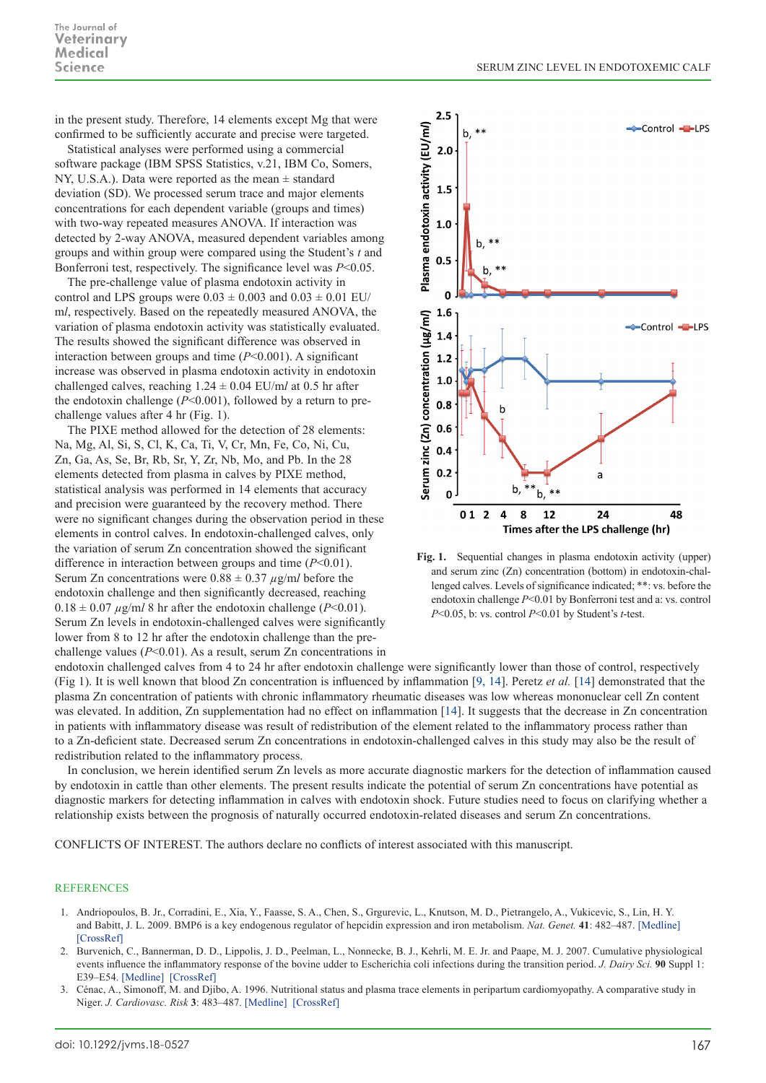in the present study. Therefore, 14 elements except Mg that were confirmed to be sufficiently accurate and precise were targeted.

Statistical analyses were performed using a commercial software package (IBM SPSS Statistics, v.21, IBM Co, Somers, NY, U.S.A.). Data were reported as the mean ± standard deviation (SD). We processed serum trace and major elements concentrations for each dependent variable (groups and times) with two-way repeated measures ANOVA. If interaction was detected by 2-way ANOVA, measured dependent variables among groups and within group were compared using the Student's *t* and Bonferroni test, respectively. The significance level was *P*<0.05.

The pre-challenge value of plasma endotoxin activity in control and LPS groups were  $0.03 \pm 0.003$  and  $0.03 \pm 0.01$  EU/ m*l*, respectively. Based on the repeatedly measured ANOVA, the variation of plasma endotoxin activity was statistically evaluated. The results showed the significant difference was observed in interaction between groups and time (*P*<0.001). A significant increase was observed in plasma endotoxin activity in endotoxin challenged calves, reaching 1.24 ± 0.04 EU/m*l* at 0.5 hr after the endotoxin challenge (*P*<0.001), followed by a return to prechallenge values after 4 hr (Fig. 1).

The PIXE method allowed for the detection of 28 elements: Na, Mg, Al, Si, S, Cl, K, Ca, Ti, V, Cr, Mn, Fe, Co, Ni, Cu, Zn, Ga, As, Se, Br, Rb, Sr, Y, Zr, Nb, Mo, and Pb. In the 28 elements detected from plasma in calves by PIXE method, statistical analysis was performed in 14 elements that accuracy and precision were guaranteed by the recovery method. There were no significant changes during the observation period in these elements in control calves. In endotoxin-challenged calves, only the variation of serum Zn concentration showed the significant difference in interaction between groups and time (*P*<0.01). Serum Zn concentrations were  $0.88 \pm 0.37 \mu g/ml$  before the endotoxin challenge and then significantly decreased, reaching  $0.18 \pm 0.07 \,\mu\text{g/m}$ *l* 8 hr after the endotoxin challenge (*P*<0.01). Serum Zn levels in endotoxin-challenged calves were significantly lower from 8 to 12 hr after the endotoxin challenge than the prechallenge values (*P*<0.01). As a result, serum Zn concentrations in



**Fig. 1.** Sequential changes in plasma endotoxin activity (upper) and serum zinc (Zn) concentration (bottom) in endotoxin-challenged calves. Levels of significance indicated; \*\*: vs. before the endotoxin challenge *P*<0.01 by Bonferroni test and a: vs. control *P*<0.05, b: vs. control *P*<0.01 by Student's *t*-test.

endotoxin challenged calves from 4 to 24 hr after endotoxin challenge were significantly lower than those of control, respectively (Fig 1). It is well known that blood Zn concentration is influenced by inflammation [[9, 14\]](#page-3-9). Peretz *et al.* [[14](#page-3-10)] demonstrated that the plasma Zn concentration of patients with chronic inflammatory rheumatic diseases was low whereas mononuclear cell Zn content was elevated. In addition, Zn supplementation had no effect on inflammation [[14](#page-3-10)]. It suggests that the decrease in Zn concentration in patients with inflammatory disease was result of redistribution of the element related to the inflammatory process rather than to a Zn-deficient state. Decreased serum Zn concentrations in endotoxin-challenged calves in this study may also be the result of redistribution related to the inflammatory process.

In conclusion, we herein identified serum Zn levels as more accurate diagnostic markers for the detection of inflammation caused by endotoxin in cattle than other elements. The present results indicate the potential of serum Zn concentrations have potential as diagnostic markers for detecting inflammation in calves with endotoxin shock. Future studies need to focus on clarifying whether a relationship exists between the prognosis of naturally occurred endotoxin-related diseases and serum Zn concentrations.

CONFLICTS OF INTEREST. The authors declare no conflicts of interest associated with this manuscript.

## REFERENCES

- <span id="page-2-1"></span>1. Andriopoulos, B. Jr., Corradini, E., Xia, Y., Faasse, S. A., Chen, S., Grgurevic, L., Knutson, M. D., Pietrangelo, A., Vukicevic, S., Lin, H. Y. and Babitt, J. L. 2009. BMP6 is a key endogenous regulator of hepcidin expression and iron metabolism. *Nat. Genet.* **41**: 482–487. [\[Medline\]](http://www.ncbi.nlm.nih.gov/pubmed/19252486?dopt=Abstract) [\[CrossRef\]](http://dx.doi.org/10.1038/ng.335)
- <span id="page-2-0"></span>2. Burvenich, C., Bannerman, D. D., Lippolis, J. D., Peelman, L., Nonnecke, B. J., Kehrli, M. E. Jr. and Paape, M. J. 2007. Cumulative physiological events influence the inflammatory response of the bovine udder to Escherichia coli infections during the transition period. *J. Dairy Sci.* **90** Suppl 1: E39–E54. [\[Medline\]](http://www.ncbi.nlm.nih.gov/pubmed/17517751?dopt=Abstract) [\[CrossRef\]](http://dx.doi.org/10.3168/jds.2006-696)
- <span id="page-2-2"></span>3. Cénac, A., Simonoff, M. and Djibo, A. 1996. Nutritional status and plasma trace elements in peripartum cardiomyopathy. A comparative study in Niger. *J. Cardiovasc. Risk* **3**: 483–487. [\[Medline\]](http://www.ncbi.nlm.nih.gov/pubmed/9100082?dopt=Abstract) [\[CrossRef\]](http://dx.doi.org/10.1177/174182679600300601)